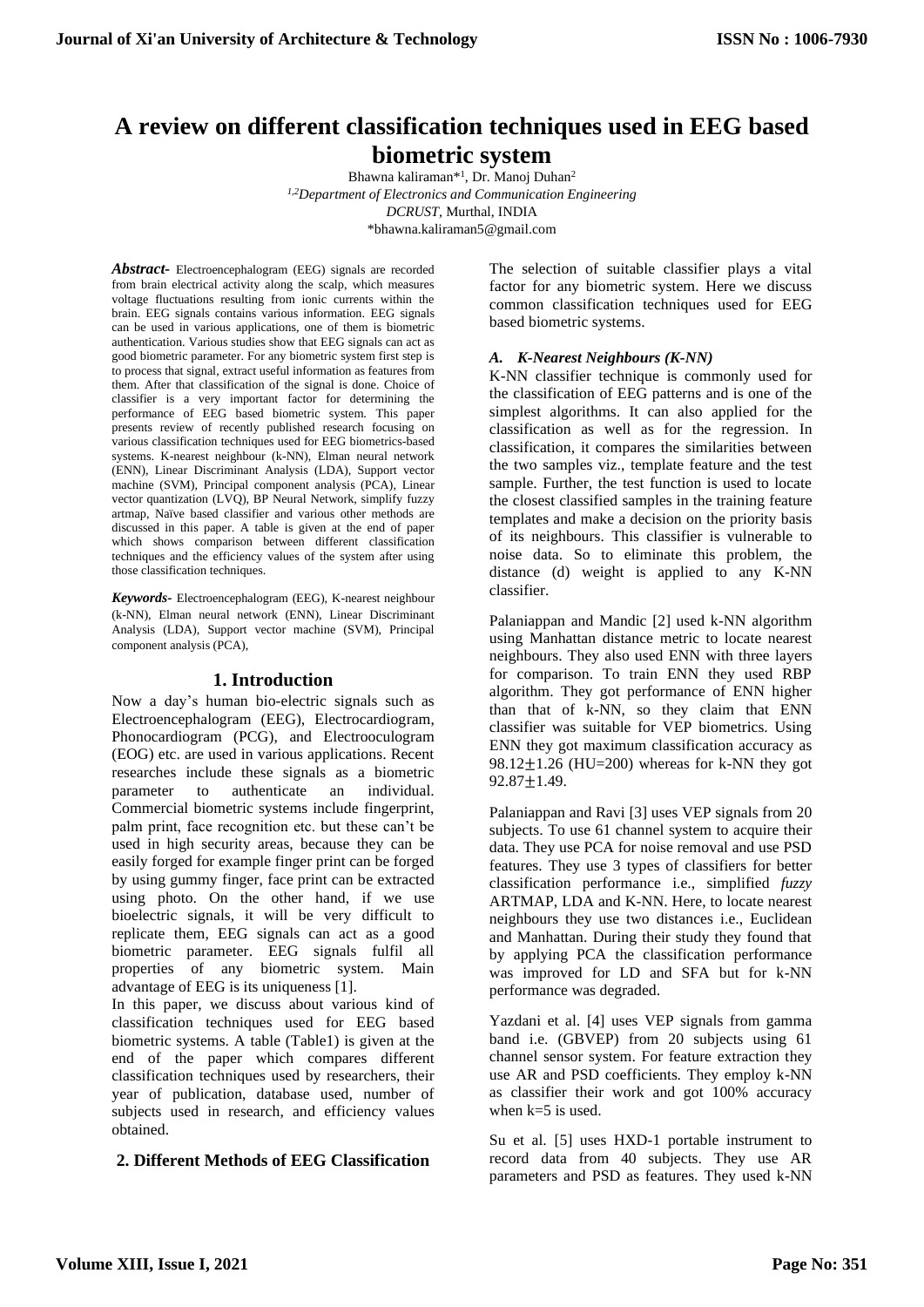# **A review on different classification techniques used in EEG based biometric system**

Bhawna kaliraman\*<sup>1</sup>, Dr. Manoj Duhan<sup>2</sup> *1,2Department of Electronics and Communication Engineering DCRUST,* Murthal, INDIA \*bhawna.kaliraman5@gmail.com

*Abstract-* Electroencephalogram (EEG) signals are recorded from brain electrical activity along the scalp, which measures voltage fluctuations resulting from ionic currents within the brain. EEG signals contains various information. EEG signals can be used in various applications, one of them is biometric authentication. Various studies show that EEG signals can act as good biometric parameter. For any biometric system first step is to process that signal, extract useful information as features from them. After that classification of the signal is done. Choice of classifier is a very important factor for determining the performance of EEG based biometric system. This paper presents review of recently published research focusing on various classification techniques used for EEG biometrics-based systems. K-nearest neighbour (k-NN), Elman neural network (ENN), Linear Discriminant Analysis (LDA), Support vector machine (SVM), Principal component analysis (PCA), Linear vector quantization (LVQ), BP Neural Network, simplify fuzzy artmap, Naïve based classifier and various other methods are discussed in this paper. A table is given at the end of paper which shows comparison between different classification techniques and the efficiency values of the system after using those classification techniques.

*Keywords-* Electroencephalogram (EEG), K-nearest neighbour (k-NN), Elman neural network (ENN), Linear Discriminant Analysis (LDA), Support vector machine (SVM), Principal component analysis (PCA),

## **1. Introduction**

Now a day's human bio-electric signals such as Electroencephalogram (EEG), Electrocardiogram, Phonocardiogram (PCG), and Electrooculogram (EOG) etc. are used in various applications. Recent researches include these signals as a biometric parameter to authenticate an individual. Commercial biometric systems include fingerprint, palm print, face recognition etc. but these can't be used in high security areas, because they can be easily forged for example finger print can be forged by using gummy finger, face print can be extracted using photo. On the other hand, if we use bioelectric signals, it will be very difficult to replicate them, EEG signals can act as a good biometric parameter. EEG signals fulfil all properties of any biometric system. Main advantage of EEG is its uniqueness [1].

In this paper, we discuss about various kind of classification techniques used for EEG based biometric systems. A table (Table1) is given at the end of the paper which compares different classification techniques used by researchers, their year of publication, database used, number of subjects used in research, and efficiency values obtained.

## **2. Different Methods of EEG Classification**

The selection of suitable classifier plays a vital factor for any biometric system. Here we discuss common classification techniques used for EEG based biometric systems.

#### *A. K-Nearest Neighbours (K-NN)*

K-NN classifier technique is commonly used for the classification of EEG patterns and is one of the simplest algorithms. It can also applied for the classification as well as for the regression. In classification, it compares the similarities between the two samples viz., template feature and the test sample. Further, the test function is used to locate the closest classified samples in the training feature templates and make a decision on the priority basis of its neighbours. This classifier is vulnerable to noise data. So to eliminate this problem, the distance (d) weight is applied to any K-NN classifier.

Palaniappan and Mandic [2] used k-NN algorithm using Manhattan distance metric to locate nearest neighbours. They also used ENN with three layers for comparison. To train ENN they used RBP algorithm. They got performance of ENN higher than that of k-NN, so they claim that ENN classifier was suitable for VEP biometrics. Using ENN they got maximum classification accuracy as  $98.12 \pm 1.26$  (HU=200) whereas for k-NN they got 92.87±1.49.

Palaniappan and Ravi [3] uses VEP signals from 20 subjects. To use 61 channel system to acquire their data. They use PCA for noise removal and use PSD features. They use 3 types of classifiers for better classification performance i.e., simplified *fuzzy*  ARTMAP, LDA and K-NN. Here, to locate nearest neighbours they use two distances i.e., Euclidean and Manhattan. During their study they found that by applying PCA the classification performance was improved for LD and SFA but for k-NN performance was degraded.

Yazdani et al. [4] uses VEP signals from gamma band i.e. (GBVEP) from 20 subjects using 61 channel sensor system. For feature extraction they use AR and PSD coefficients. They employ k-NN as classifier their work and got 100% accuracy when  $k=5$  is used.

Su et al. [5] uses HXD-1 portable instrument to record data from 40 subjects. They use AR parameters and PSD as features. They used k-NN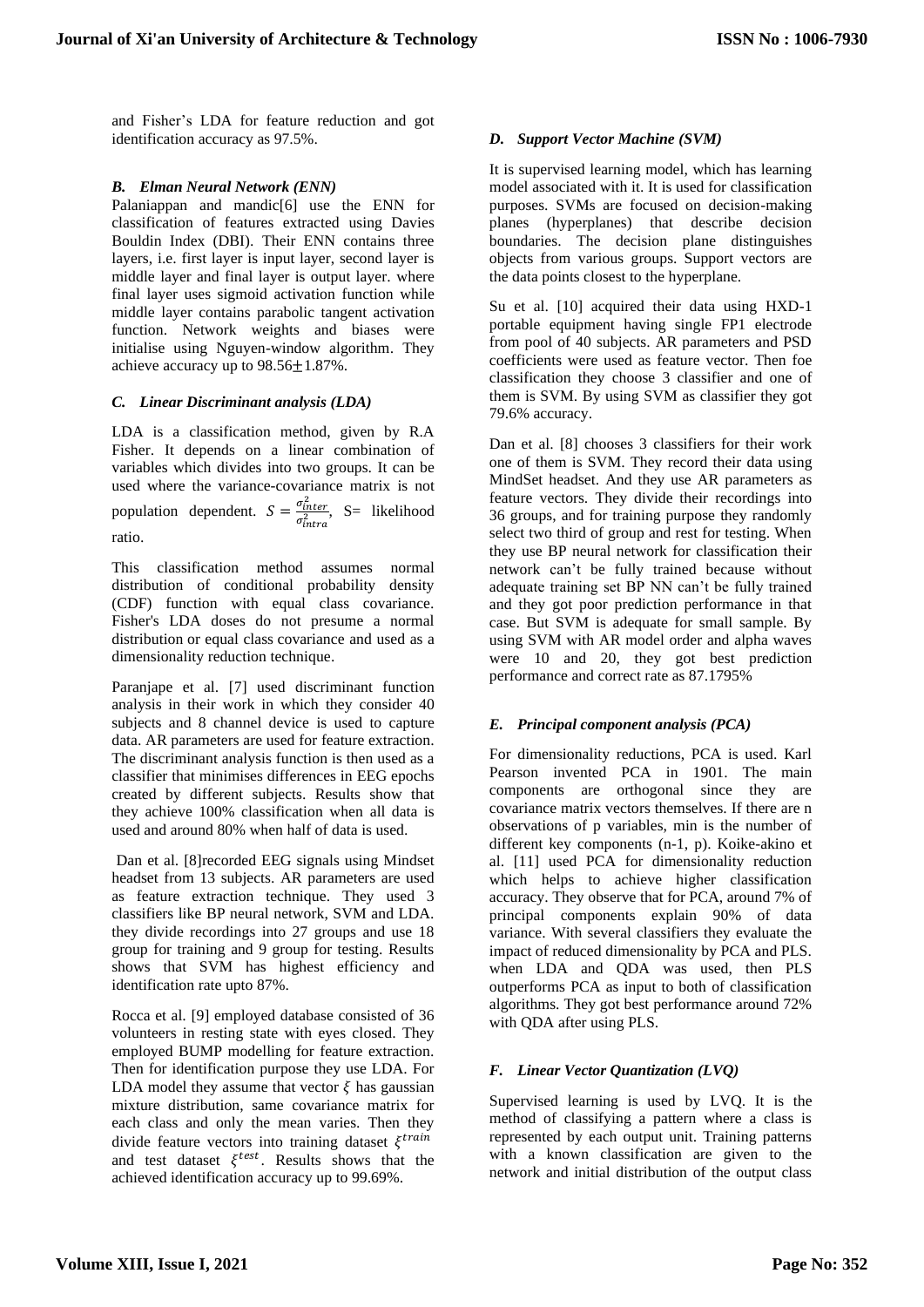and Fisher's LDA for feature reduction and got identification accuracy as 97.5%.

#### *B. Elman Neural Network (ENN)*

Palaniappan and mandic<sup>[6]</sup> use the ENN for classification of features extracted using Davies Bouldin Index (DBI). Their ENN contains three layers, i.e. first layer is input layer, second layer is middle layer and final layer is output layer. where final layer uses sigmoid activation function while middle layer contains parabolic tangent activation function. Network weights and biases were initialise using Nguyen-window algorithm. They achieve accuracy up to 98.56±1.87%.

#### *C. Linear Discriminant analysis (LDA)*

LDA is a classification method, given by R.A Fisher. It depends on a linear combination of variables which divides into two groups. It can be used where the variance-covariance matrix is not population dependent.  $S = \frac{\sigma_{inter}^2}{r^2}$  $\frac{\partial$ inter, S= likelihood ratio.

This classification method assumes normal distribution of conditional probability density (CDF) function with equal class covariance. Fisher's LDA doses do not presume a normal distribution or equal class covariance and used as a dimensionality reduction technique.

Paranjape et al. [7] used discriminant function analysis in their work in which they consider 40 subjects and 8 channel device is used to capture data. AR parameters are used for feature extraction. The discriminant analysis function is then used as a classifier that minimises differences in EEG epochs created by different subjects. Results show that they achieve 100% classification when all data is used and around 80% when half of data is used.

Dan et al. [8]recorded EEG signals using Mindset headset from 13 subjects. AR parameters are used as feature extraction technique. They used 3 classifiers like BP neural network, SVM and LDA. they divide recordings into 27 groups and use 18 group for training and 9 group for testing. Results shows that SVM has highest efficiency and identification rate upto 87%.

Rocca et al. [9] employed database consisted of 36 volunteers in resting state with eyes closed. They employed BUMP modelling for feature extraction. Then for identification purpose they use LDA. For LDA model they assume that vector  $\xi$  has gaussian mixture distribution, same covariance matrix for each class and only the mean varies. Then they divide feature vectors into training dataset  $\xi^{train}$ and test dataset  $\xi^{test}$ . Results shows that the achieved identification accuracy up to 99.69%.

#### *D. Support Vector Machine (SVM)*

It is supervised learning model, which has learning model associated with it. It is used for classification purposes. SVMs are focused on decision-making planes (hyperplanes) that describe decision boundaries. The decision plane distinguishes objects from various groups. Support vectors are the data points closest to the hyperplane.

Su et al. [10] acquired their data using HXD-1 portable equipment having single FP1 electrode from pool of 40 subjects. AR parameters and PSD coefficients were used as feature vector. Then foe classification they choose 3 classifier and one of them is SVM. By using SVM as classifier they got 79.6% accuracy.

Dan et al. [8] chooses 3 classifiers for their work one of them is SVM. They record their data using MindSet headset. And they use AR parameters as feature vectors. They divide their recordings into 36 groups, and for training purpose they randomly select two third of group and rest for testing. When they use BP neural network for classification their network can't be fully trained because without adequate training set BP NN can't be fully trained and they got poor prediction performance in that case. But SVM is adequate for small sample. By using SVM with AR model order and alpha waves were 10 and 20, they got best prediction performance and correct rate as 87.1795%

## *E. Principal component analysis (PCA)*

For dimensionality reductions, PCA is used. Karl Pearson invented PCA in 1901. The main components are orthogonal since they are covariance matrix vectors themselves. If there are n observations of p variables, min is the number of different key components (n-1, p). Koike-akino et al. [11] used PCA for dimensionality reduction which helps to achieve higher classification accuracy. They observe that for PCA, around 7% of principal components explain 90% of data variance. With several classifiers they evaluate the impact of reduced dimensionality by PCA and PLS. when LDA and QDA was used, then PLS outperforms PCA as input to both of classification algorithms. They got best performance around 72% with QDA after using PLS.

## *F. Linear Vector Quantization (LVQ)*

Supervised learning is used by LVQ. It is the method of classifying a pattern where a class is represented by each output unit. Training patterns with a known classification are given to the network and initial distribution of the output class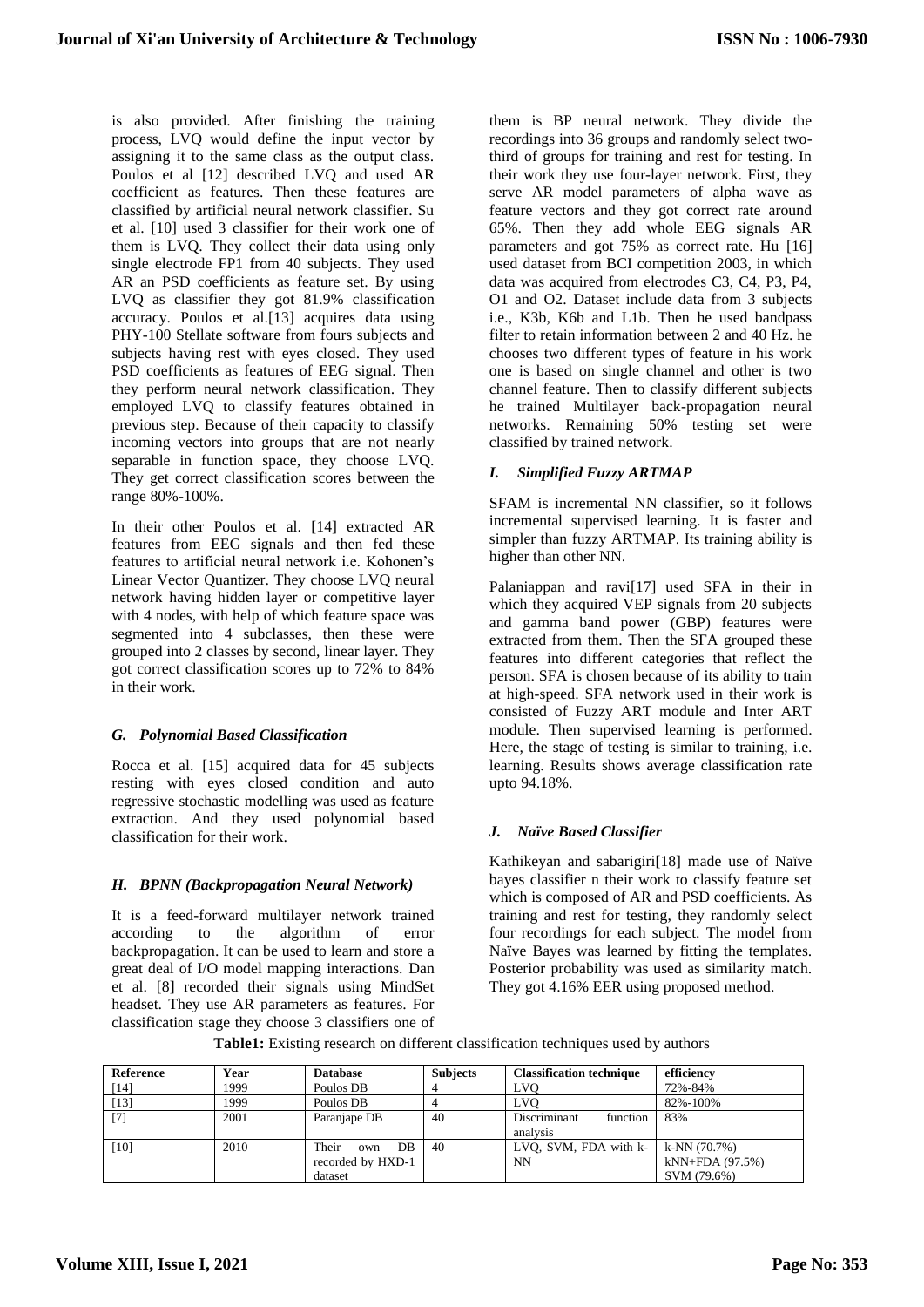is also provided. After finishing the training process, LVQ would define the input vector by assigning it to the same class as the output class. Poulos et al [12] described LVQ and used AR coefficient as features. Then these features are classified by artificial neural network classifier. Su et al. [10] used 3 classifier for their work one of them is LVQ. They collect their data using only single electrode FP1 from 40 subjects. They used AR an PSD coefficients as feature set. By using LVQ as classifier they got 81.9% classification accuracy. Poulos et al.[13] acquires data using PHY-100 Stellate software from fours subjects and subjects having rest with eyes closed. They used PSD coefficients as features of EEG signal. Then they perform neural network classification. They employed LVQ to classify features obtained in previous step. Because of their capacity to classify incoming vectors into groups that are not nearly separable in function space, they choose LVQ. They get correct classification scores between the range 80%-100%.

In their other Poulos et al. [14] extracted AR features from EEG signals and then fed these features to artificial neural network i.e. Kohonen's Linear Vector Quantizer. They choose LVQ neural network having hidden layer or competitive layer with 4 nodes, with help of which feature space was segmented into 4 subclasses, then these were grouped into 2 classes by second, linear layer. They got correct classification scores up to 72% to 84% in their work.

#### *G. Polynomial Based Classification*

Rocca et al. [15] acquired data for 45 subjects resting with eyes closed condition and auto regressive stochastic modelling was used as feature extraction. And they used polynomial based classification for their work.

#### *H. BPNN (Backpropagation Neural Network)*

It is a feed-forward multilayer network trained according to the algorithm of error backpropagation. It can be used to learn and store a great deal of I/O model mapping interactions. Dan et al. [8] recorded their signals using MindSet headset. They use AR parameters as features. For classification stage they choose 3 classifiers one of

them is BP neural network. They divide the recordings into 36 groups and randomly select twothird of groups for training and rest for testing. In their work they use four-layer network. First, they serve AR model parameters of alpha wave as feature vectors and they got correct rate around 65%. Then they add whole EEG signals AR parameters and got 75% as correct rate. Hu [16] used dataset from BCI competition 2003, in which data was acquired from electrodes C3, C4, P3, P4, O1 and O2. Dataset include data from 3 subjects i.e., K3b, K6b and L1b. Then he used bandpass filter to retain information between 2 and 40 Hz. he chooses two different types of feature in his work one is based on single channel and other is two channel feature. Then to classify different subjects he trained Multilayer back-propagation neural networks. Remaining 50% testing set were classified by trained network.

## *I. Simplified Fuzzy ARTMAP*

SFAM is incremental NN classifier, so it follows incremental supervised learning. It is faster and simpler than fuzzy ARTMAP. Its training ability is higher than other NN.

Palaniappan and ravi[17] used SFA in their in which they acquired VEP signals from 20 subjects and gamma band power (GBP) features were extracted from them. Then the SFA grouped these features into different categories that reflect the person. SFA is chosen because of its ability to train at high-speed. SFA network used in their work is consisted of Fuzzy ART module and Inter ART module. Then supervised learning is performed. Here, the stage of testing is similar to training, i.e. learning. Results shows average classification rate upto 94.18%.

## *J. Naïve Based Classifier*

Kathikeyan and sabarigiri[18] made use of Naïve bayes classifier n their work to classify feature set which is composed of AR and PSD coefficients. As training and rest for testing, they randomly select four recordings for each subject. The model from Naïve Bayes was learned by fitting the templates. Posterior probability was used as similarity match. They got 4.16% EER using proposed method.

| <b>Reference</b> | Year | <b>Database</b>                                    | <b>Subjects</b> | <b>Classification technique</b>      | efficiency                                       |
|------------------|------|----------------------------------------------------|-----------------|--------------------------------------|--------------------------------------------------|
| [14]             | 1999 | Poulos DB                                          |                 | <b>LVO</b>                           | 72%-84%                                          |
| $[13]$           | 1999 | Poulos DB                                          |                 | <b>LVC</b>                           | 82%-100%                                         |
| [7]              | 2001 | Paranjape DB                                       | 40              | Discriminant<br>function<br>analysis | 83%                                              |
| [10]             | 2010 | Their<br>DB<br>own<br>recorded by HXD-1<br>dataset | 40              | LVQ, SVM, FDA with k-<br><b>NN</b>   | $k-NN(70.7%)$<br>$kNN+FDA(97.5%)$<br>SVM (79.6%) |

**Table1:** Existing research on different classification techniques used by authors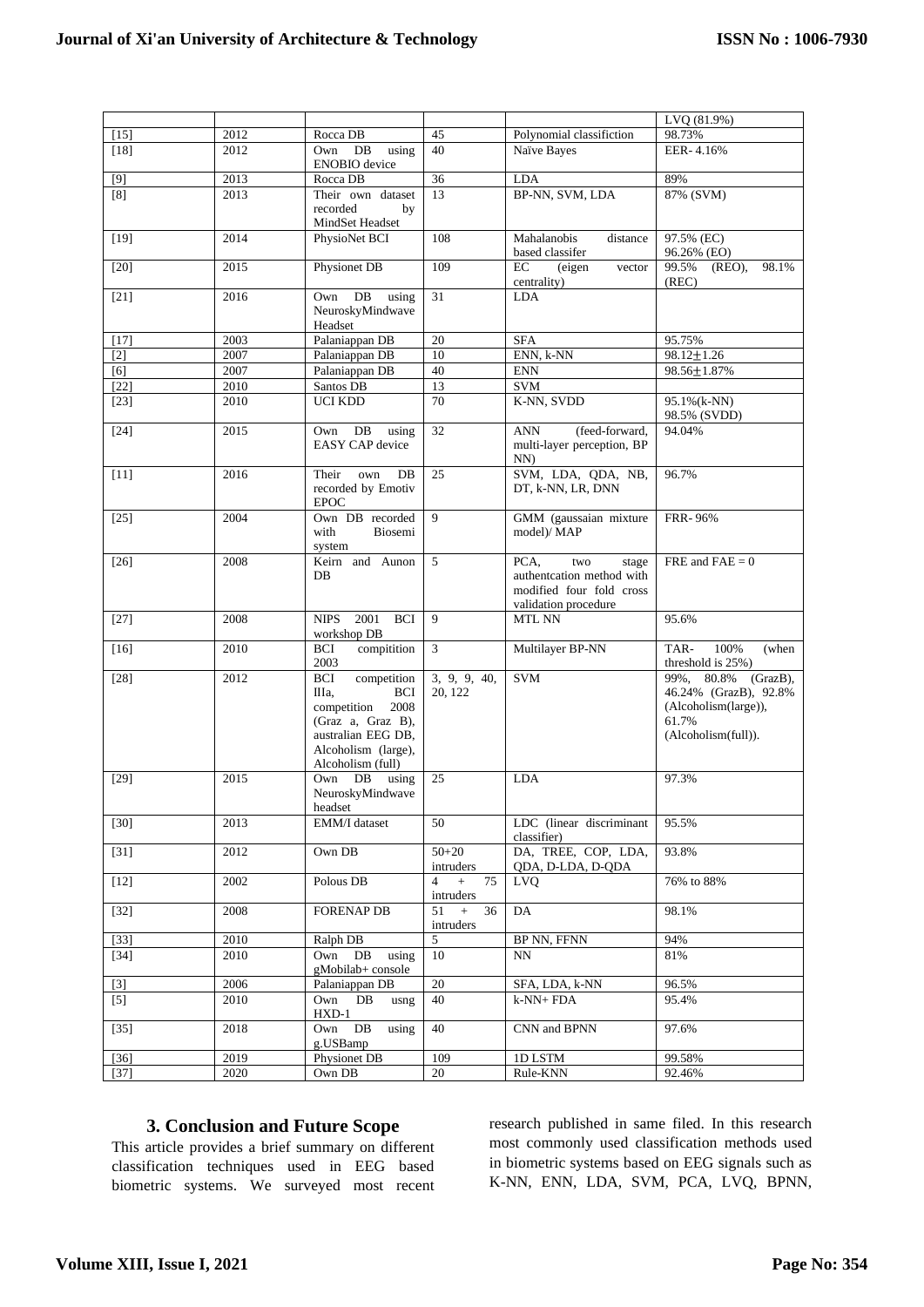|        |      |                                                                                                                                                                |                              |                                                                                                       | LVQ (81.9%)                                                                                             |
|--------|------|----------------------------------------------------------------------------------------------------------------------------------------------------------------|------------------------------|-------------------------------------------------------------------------------------------------------|---------------------------------------------------------------------------------------------------------|
| $[15]$ | 2012 | Rocca DB                                                                                                                                                       | 45                           | Polynomial classifiction                                                                              | 98.73%                                                                                                  |
| $[18]$ | 2012 | Own<br>DB<br>using<br><b>ENOBIO</b> device                                                                                                                     | 40                           | Naïve Bayes                                                                                           | EER-4.16%                                                                                               |
| [9]    | 2013 | Rocca DB                                                                                                                                                       | 36                           | <b>LDA</b>                                                                                            | 89%                                                                                                     |
| [8]    | 2013 | Their own dataset<br>recorded<br>by<br>MindSet Headset                                                                                                         | 13                           | BP-NN, SVM, LDA                                                                                       | 87% (SVM)                                                                                               |
| $[19]$ | 2014 | PhysioNet BCI                                                                                                                                                  | 108                          | Mahalanobis<br>distance<br>based classifer                                                            | 97.5% (EC)<br>96.26% (EO)                                                                               |
| [20]   | 2015 | Physionet DB                                                                                                                                                   | 109                          | EC<br>(eigen<br>vector<br>centrality)                                                                 | 98.1%<br>99.5%<br>$(RED)$ ,<br>(REC)                                                                    |
| $[21]$ | 2016 | Own DB<br>using<br>NeuroskyMindwave<br>Headset                                                                                                                 | 31                           | <b>LDA</b>                                                                                            |                                                                                                         |
| $[17]$ | 2003 | Palaniappan <sub>DB</sub>                                                                                                                                      | 20                           | <b>SFA</b>                                                                                            | 95.75%                                                                                                  |
| $[2]$  | 2007 | Palaniappan DB                                                                                                                                                 | 10                           | ENN, k-NN                                                                                             | $98.12 \pm 1.26$                                                                                        |
| [6]    | 2007 | Palaniappan DB                                                                                                                                                 | 40                           | $\mathop{\rm ENN}\nolimits$                                                                           | 98.56±1.87%                                                                                             |
| $[22]$ | 2010 | Santos DB                                                                                                                                                      | 13                           | <b>SVM</b>                                                                                            |                                                                                                         |
| $[23]$ | 2010 | <b>UCI KDD</b>                                                                                                                                                 | 70                           | K-NN, SVDD                                                                                            | 95.1%(k-NN)<br>98.5% (SVDD)                                                                             |
| $[24]$ | 2015 | DB<br>using<br>Own<br><b>EASY CAP</b> device                                                                                                                   | 32                           | <b>ANN</b><br>(feed-forward,<br>multi-layer perception, BP<br>$NN$ )                                  | 94.04%                                                                                                  |
| $[11]$ | 2016 | Their<br>own<br>DB<br>recorded by Emotiv<br><b>EPOC</b>                                                                                                        | 25                           | SVM, LDA, QDA, NB,<br>DT, k-NN, LR, DNN                                                               | 96.7%                                                                                                   |
| $[25]$ | 2004 | Own DB recorded<br>with<br>Biosemi<br>system                                                                                                                   | 9                            | GMM (gaussaian mixture<br>model)/ MAP                                                                 | <b>FRR-96%</b>                                                                                          |
| [26]   | 2008 | Keirn and Aunon<br>DB                                                                                                                                          | 5                            | PCA,<br>two<br>stage<br>authentcation method with<br>modified four fold cross<br>validation procedure | FRE and $FAE = 0$                                                                                       |
| $[27]$ | 2008 | 2001<br><b>NIPS</b><br><b>BCI</b><br>workshop DB                                                                                                               | 9                            | MTL NN                                                                                                | 95.6%                                                                                                   |
| $[16]$ | 2010 | compitition<br><b>BCI</b><br>2003                                                                                                                              | 3                            | Multilayer BP-NN                                                                                      | 100%<br>(when<br>TAR-<br>threshold is 25%)                                                              |
| $[28]$ | 2012 | <b>BCI</b><br>competition<br>IIIa.<br><b>BCI</b><br>2008<br>competition<br>(Graz a, Graz B),<br>australian EEG DB,<br>Alcoholism (large),<br>Alcoholism (full) | 3, 9, 9, 40,<br>20, 122      | <b>SVM</b>                                                                                            | 99%, 80.8%<br>(GrazB),<br>46.24% (GrazB), 92.8%<br>(Alcoholism(large)),<br>61.7%<br>(Alcoholism(full)). |
| $[29]$ | 2015 | Own DB<br>using<br>NeuroskyMindwave<br>headset                                                                                                                 | 25                           | <b>LDA</b>                                                                                            | 97.3%                                                                                                   |
| $[30]$ | 2013 | EMM/I dataset                                                                                                                                                  | 50                           | LDC (linear discriminant<br>classifier)                                                               | 95.5%                                                                                                   |
| $[31]$ | 2012 | Own DB                                                                                                                                                         | $50 + 20$<br>intruders       | DA, TREE, COP, LDA,<br>ODA, D-LDA, D-ODA                                                              | 93.8%                                                                                                   |
| $[12]$ | 2002 | Polous DB                                                                                                                                                      | $4 +$<br>75<br>intruders     | <b>LVQ</b>                                                                                            | 76% to 88%                                                                                              |
| $[32]$ | 2008 | <b>FORENAP DB</b>                                                                                                                                              | $+$<br>51<br>36<br>intruders | DA                                                                                                    | 98.1%                                                                                                   |
| $[33]$ | 2010 | Ralph DB                                                                                                                                                       | 5                            | <b>BP NN, FFNN</b>                                                                                    | 94%                                                                                                     |
| $[34]$ | 2010 | Own DB<br>using<br>gMobilab+ console                                                                                                                           | 10                           | NN.                                                                                                   | 81%                                                                                                     |
| $[3]$  | 2006 | Palaniappan DB                                                                                                                                                 | 20                           | SFA, LDA, k-NN                                                                                        | 96.5%                                                                                                   |
| $[5]$  | 2010 | Own<br>DB<br>usng<br>$HXD-1$                                                                                                                                   | 40                           | $k-NN+FDA$                                                                                            | 95.4%                                                                                                   |
| $[35]$ | 2018 | Own DB<br>using<br>g.USBamp                                                                                                                                    | 40                           | CNN and BPNN                                                                                          | 97.6%                                                                                                   |
| $[36]$ | 2019 | Physionet DB                                                                                                                                                   | 109                          | 1D LSTM                                                                                               | 99.58%                                                                                                  |
| $[37]$ | 2020 | Own DB                                                                                                                                                         | 20                           | Rule-KNN                                                                                              | 92.46%                                                                                                  |

## **3. Conclusion and Future Scope**

This article provides a brief summary on different classification techniques used in EEG based biometric systems. We surveyed most recent research published in same filed. In this research most commonly used classification methods used in biometric systems based on EEG signals such as K-NN, ENN, LDA, SVM, PCA, LVQ, BPNN,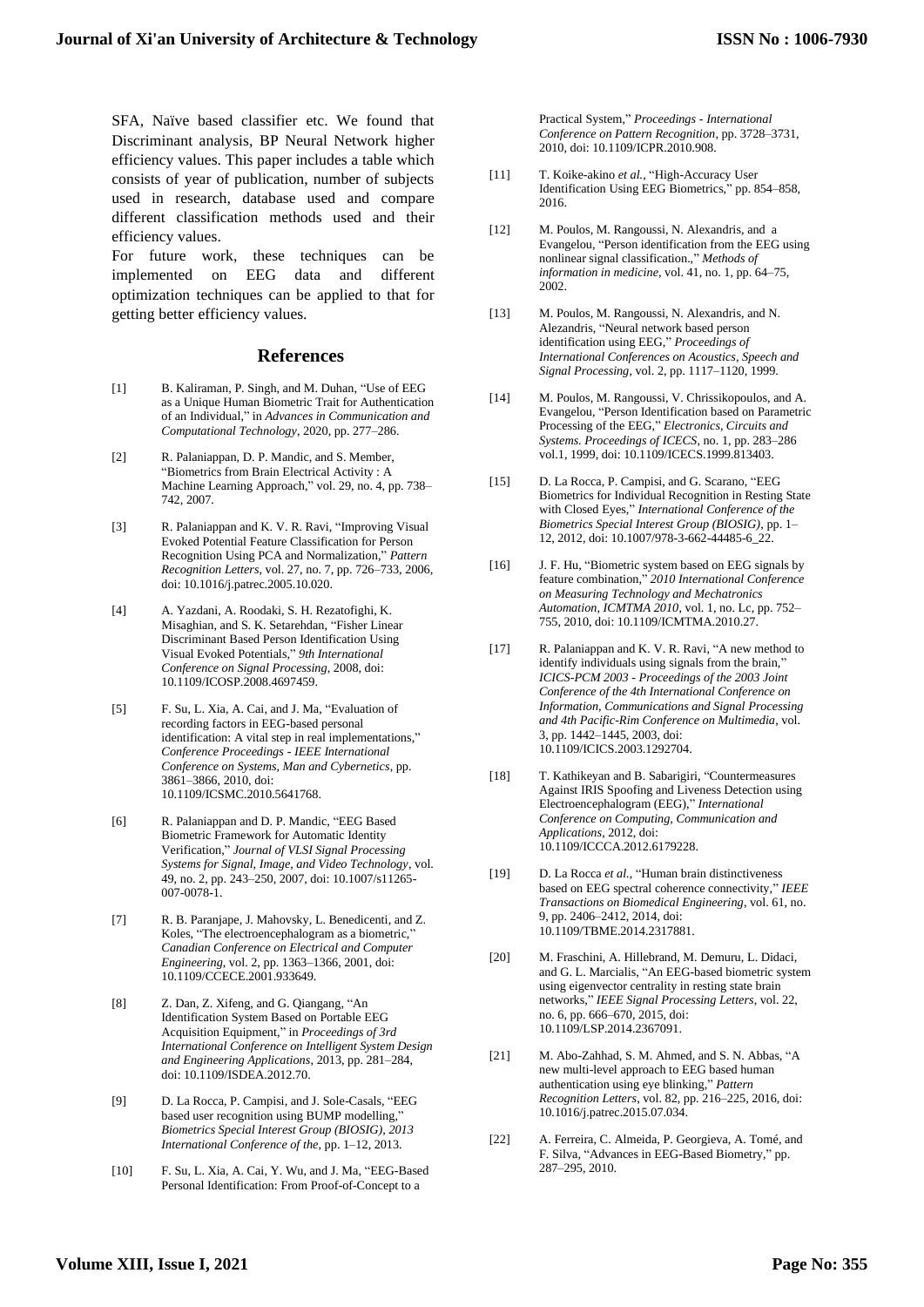SFA, Naïve based classifier etc. We found that Discriminant analysis, BP Neural Network higher efficiency values. This paper includes a table which consists of year of publication, number of subjects used in research, database used and compare different classification methods used and their efficiency values.

For future work, these techniques can be implemented on EEG data and different optimization techniques can be applied to that for getting better efficiency values.

#### **References**

- [1] B. Kaliraman, P. Singh, and M. Duhan, "Use of EEG as a Unique Human Biometric Trait for Authentication of an Individual," in *Advances in Communication and Computational Technology*, 2020, pp. 277–286.
- [2] R. Palaniappan, D. P. Mandic, and S. Member, "Biometrics from Brain Electrical Activity : A Machine Learning Approach," vol. 29, no. 4, pp. 738– 742, 2007.
- [3] R. Palaniappan and K. V. R. Ravi, "Improving Visual Evoked Potential Feature Classification for Person Recognition Using PCA and Normalization," *Pattern Recognition Letters*, vol. 27, no. 7, pp. 726–733, 2006, doi: 10.1016/j.patrec.2005.10.020.
- [4] A. Yazdani, A. Roodaki, S. H. Rezatofighi, K. Misaghian, and S. K. Setarehdan, "Fisher Linear Discriminant Based Person Identification Using Visual Evoked Potentials," *9th International Conference on Signal Processing*, 2008, doi: 10.1109/ICOSP.2008.4697459.
- [5] F. Su, L. Xia, A. Cai, and J. Ma, "Evaluation of recording factors in EEG-based personal identification: A vital step in real implementations," *Conference Proceedings - IEEE International Conference on Systems, Man and Cybernetics*, pp. 3861–3866, 2010, doi: 10.1109/ICSMC.2010.5641768.
- [6] R. Palaniappan and D. P. Mandic, "EEG Based Biometric Framework for Automatic Identity Verification," *Journal of VLSI Signal Processing Systems for Signal, Image, and Video Technology*, vol. 49, no. 2, pp. 243–250, 2007, doi: 10.1007/s11265- 007-0078-1.
- [7] R. B. Paranjape, J. Mahovsky, L. Benedicenti, and Z. Koles, "The electroencephalogram as a biometric," *Canadian Conference on Electrical and Computer Engineering*, vol. 2, pp. 1363–1366, 2001, doi: 10.1109/CCECE.2001.933649.
- [8] Z. Dan, Z. Xifeng, and G. Qiangang, "An Identification System Based on Portable EEG Acquisition Equipment," in *Proceedings of 3rd International Conference on Intelligent System Design and Engineering Applications*, 2013, pp. 281–284, doi: 10.1109/ISDEA.2012.70.
- [9] D. La Rocca, P. Campisi, and J. Sole-Casals, "EEG based user recognition using BUMP modelling," *Biometrics Special Interest Group (BIOSIG), 2013 International Conference of the*, pp. 1–12, 2013.
- [10] F. Su, L. Xia, A. Cai, Y. Wu, and J. Ma, "EEG-Based Personal Identification: From Proof-of-Concept to a

Practical System," *Proceedings - International Conference on Pattern Recognition*, pp. 3728–3731, 2010, doi: 10.1109/ICPR.2010.908.

- [11] T. Koike-akino *et al.*, "High-Accuracy User Identification Using EEG Biometrics," pp. 854–858, 2016.
- [12] M. Poulos, M. Rangoussi, N. Alexandris, and a Evangelou, "Person identification from the EEG using nonlinear signal classification.," *Methods of information in medicine*, vol. 41, no. 1, pp. 64–75, 2002.
- [13] M. Poulos, M. Rangoussi, N. Alexandris, and N. Alezandris, "Neural network based person identification using EEG," *Proceedings of International Conferences on Acoustics, Speech and Signal Processing*, vol. 2, pp. 1117–1120, 1999.
- [14] M. Poulos, M. Rangoussi, V. Chrissikopoulos, and A. Evangelou, "Person Identification based on Parametric Processing of the EEG," *Electronics, Circuits and Systems. Proceedings of ICECS*, no. 1, pp. 283–286 vol.1, 1999, doi: 10.1109/ICECS.1999.813403.
- [15] D. La Rocca, P. Campisi, and G. Scarano, "EEG Biometrics for Individual Recognition in Resting State with Closed Eyes," *International Conference of the Biometrics Special Interest Group (BIOSIG)*, pp. 1– 12, 2012, doi: 10.1007/978-3-662-44485-6\_22.
- [16] J. F. Hu, "Biometric system based on EEG signals by feature combination," *2010 International Conference on Measuring Technology and Mechatronics Automation, ICMTMA 2010*, vol. 1, no. Lc, pp. 752– 755, 2010, doi: 10.1109/ICMTMA.2010.27.
- [17] R. Palaniappan and K. V. R. Ravi, "A new method to identify individuals using signals from the brain," *ICICS-PCM 2003 - Proceedings of the 2003 Joint Conference of the 4th International Conference on Information, Communications and Signal Processing and 4th Pacific-Rim Conference on Multimedia*, vol. 3, pp. 1442–1445, 2003, doi: 10.1109/ICICS.2003.1292704.
- [18] T. Kathikeyan and B. Sabarigiri, "Countermeasures Against IRIS Spoofing and Liveness Detection using Electroencephalogram (EEG)," *International Conference on Computing, Communication and Applications*, 2012, doi: 10.1109/ICCCA.2012.6179228.
- [19] D. La Rocca *et al.*, "Human brain distinctiveness based on EEG spectral coherence connectivity," *IEEE Transactions on Biomedical Engineering*, vol. 61, no. 9, pp. 2406–2412, 2014, doi: 10.1109/TBME.2014.2317881.
- [20] M. Fraschini, A. Hillebrand, M. Demuru, L. Didaci, and G. L. Marcialis, "An EEG-based biometric system using eigenvector centrality in resting state brain networks," *IEEE Signal Processing Letters*, vol. 22, no. 6, pp. 666–670, 2015, doi: 10.1109/LSP.2014.2367091.
- [21] M. Abo-Zahhad, S. M. Ahmed, and S. N. Abbas, "A new multi-level approach to EEG based human authentication using eye blinking," *Pattern Recognition Letters*, vol. 82, pp. 216–225, 2016, doi: 10.1016/j.patrec.2015.07.034.
- [22] A. Ferreira, C. Almeida, P. Georgieva, A. Tomé, and F. Silva, "Advances in EEG-Based Biometry," pp. 287–295, 2010.